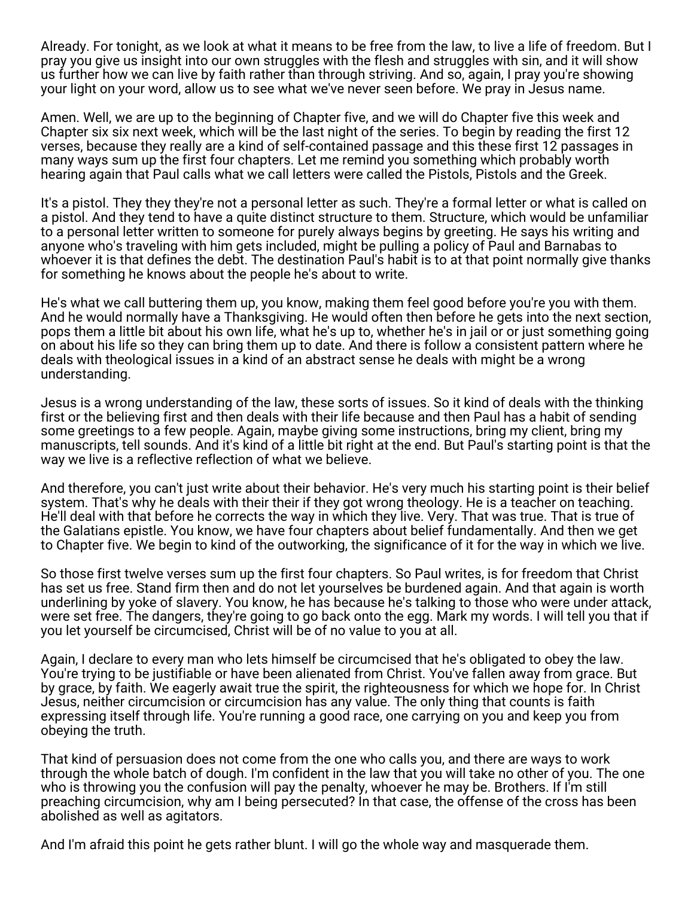Already. For tonight, as we look at what it means to be free from the law, to live a life of freedom. But I pray you give us insight into our own struggles with the flesh and struggles with sin, and it will show us further how we can live by faith rather than through striving. And so, again, I pray you're showing your light on your word, allow us to see what we've never seen before. We pray in Jesus name.

Amen. Well, we are up to the beginning of Chapter five, and we will do Chapter five this week and Chapter six six next week, which will be the last night of the series. To begin by reading the first 12 verses, because they really are a kind of self-contained passage and this these first 12 passages in many ways sum up the first four chapters. Let me remind you something which probably worth hearing again that Paul calls what we call letters were called the Pistols, Pistols and the Greek.

It's a pistol. They they they're not a personal letter as such. They're a formal letter or what is called on a pistol. And they tend to have a quite distinct structure to them. Structure, which would be unfamiliar to a personal letter written to someone for purely always begins by greeting. He says his writing and anyone who's traveling with him gets included, might be pulling a policy of Paul and Barnabas to whoever it is that defines the debt. The destination Paul's habit is to at that point normally give thanks for something he knows about the people he's about to write.

He's what we call buttering them up, you know, making them feel good before you're you with them. And he would normally have a Thanksgiving. He would often then before he gets into the next section, pops them a little bit about his own life, what he's up to, whether he's in jail or or just something going on about his life so they can bring them up to date. And there is follow a consistent pattern where he deals with theological issues in a kind of an abstract sense he deals with might be a wrong understanding.

Jesus is a wrong understanding of the law, these sorts of issues. So it kind of deals with the thinking first or the believing first and then deals with their life because and then Paul has a habit of sending some greetings to a few people. Again, maybe giving some instructions, bring my client, bring my manuscripts, tell sounds. And it's kind of a little bit right at the end. But Paul's starting point is that the way we live is a reflective reflection of what we believe.

And therefore, you can't just write about their behavior. He's very much his starting point is their belief system. That's why he deals with their their if they got wrong theology. He is a teacher on teaching. He'll deal with that before he corrects the way in which they live. Very. That was true. That is true of the Galatians epistle. You know, we have four chapters about belief fundamentally. And then we get to Chapter five. We begin to kind of the outworking, the significance of it for the way in which we live.

So those first twelve verses sum up the first four chapters. So Paul writes, is for freedom that Christ has set us free. Stand firm then and do not let yourselves be burdened again. And that again is worth underlining by yoke of slavery. You know, he has because he's talking to those who were under attack, were set free. The dangers, they're going to go back onto the egg. Mark my words. I will tell you that if you let yourself be circumcised, Christ will be of no value to you at all.

Again, I declare to every man who lets himself be circumcised that he's obligated to obey the law. You're trying to be justifiable or have been alienated from Christ. You've fallen away from grace. But by grace, by faith. We eagerly await true the spirit, the righteousness for which we hope for. In Christ Jesus, neither circumcision or circumcision has any value. The only thing that counts is faith expressing itself through life. You're running a good race, one carrying on you and keep you from obeying the truth.

That kind of persuasion does not come from the one who calls you, and there are ways to work through the whole batch of dough. I'm confident in the law that you will take no other of you. The one who is throwing you the confusion will pay the penalty, whoever he may be. Brothers. If I'm still preaching circumcision, why am I being persecuted? In that case, the offense of the cross has been abolished as well as agitators.

And I'm afraid this point he gets rather blunt. I will go the whole way and masquerade them.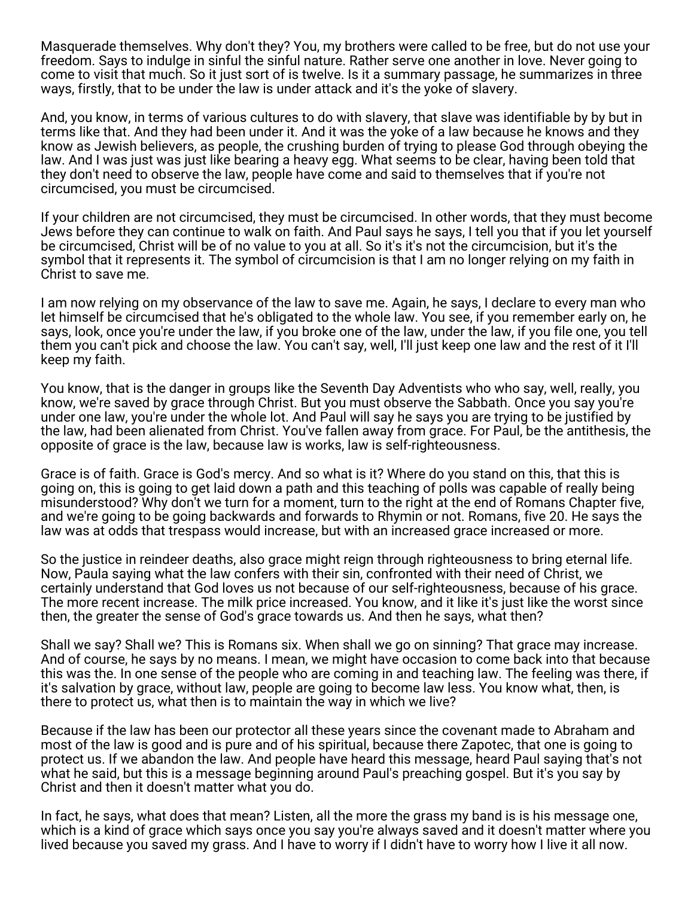Masquerade themselves. Why don't they? You, my brothers were called to be free, but do not use your freedom. Says to indulge in sinful the sinful nature. Rather serve one another in love. Never going to come to visit that much. So it just sort of is twelve. Is it a summary passage, he summarizes in three ways, firstly, that to be under the law is under attack and it's the yoke of slavery.

And, you know, in terms of various cultures to do with slavery, that slave was identifiable by by but in terms like that. And they had been under it. And it was the yoke of a law because he knows and they know as Jewish believers, as people, the crushing burden of trying to please God through obeying the law. And I was just was just like bearing a heavy egg. What seems to be clear, having been told that they don't need to observe the law, people have come and said to themselves that if you're not circumcised, you must be circumcised.

If your children are not circumcised, they must be circumcised. In other words, that they must become Jews before they can continue to walk on faith. And Paul says he says, I tell you that if you let yourself be circumcised, Christ will be of no value to you at all. So it's it's not the circumcision, but it's the symbol that it represents it. The symbol of circumcision is that I am no longer relying on my faith in Christ to save me.

I am now relying on my observance of the law to save me. Again, he says, I declare to every man who let himself be circumcised that he's obligated to the whole law. You see, if you remember early on, he says, look, once you're under the law, if you broke one of the law, under the law, if you file one, you tell them you can't pick and choose the law. You can't say, well, I'll just keep one law and the rest of it I'll keep my faith.

You know, that is the danger in groups like the Seventh Day Adventists who who say, well, really, you know, we're saved by grace through Christ. But you must observe the Sabbath. Once you say you're under one law, you're under the whole lot. And Paul will say he says you are trying to be justified by the law, had been alienated from Christ. You've fallen away from grace. For Paul, be the antithesis, the opposite of grace is the law, because law is works, law is self-righteousness.

Grace is of faith. Grace is God's mercy. And so what is it? Where do you stand on this, that this is going on, this is going to get laid down a path and this teaching of polls was capable of really being misunderstood? Why don't we turn for a moment, turn to the right at the end of Romans Chapter five, and we're going to be going backwards and forwards to Rhymin or not. Romans, five 20. He says the law was at odds that trespass would increase, but with an increased grace increased or more.

So the justice in reindeer deaths, also grace might reign through righteousness to bring eternal life. Now, Paula saying what the law confers with their sin, confronted with their need of Christ, we certainly understand that God loves us not because of our self-righteousness, because of his grace. The more recent increase. The milk price increased. You know, and it like it's just like the worst since then, the greater the sense of God's grace towards us. And then he says, what then?

Shall we say? Shall we? This is Romans six. When shall we go on sinning? That grace may increase. And of course, he says by no means. I mean, we might have occasion to come back into that because this was the. In one sense of the people who are coming in and teaching law. The feeling was there, if it's salvation by grace, without law, people are going to become law less. You know what, then, is there to protect us, what then is to maintain the way in which we live?

Because if the law has been our protector all these years since the covenant made to Abraham and most of the law is good and is pure and of his spiritual, because there Zapotec, that one is going to protect us. If we abandon the law. And people have heard this message, heard Paul saying that's not what he said, but this is a message beginning around Paul's preaching gospel. But it's you say by Christ and then it doesn't matter what you do.

In fact, he says, what does that mean? Listen, all the more the grass my band is is his message one, which is a kind of grace which says once you say you're always saved and it doesn't matter where you lived because you saved my grass. And I have to worry if I didn't have to worry how I live it all now.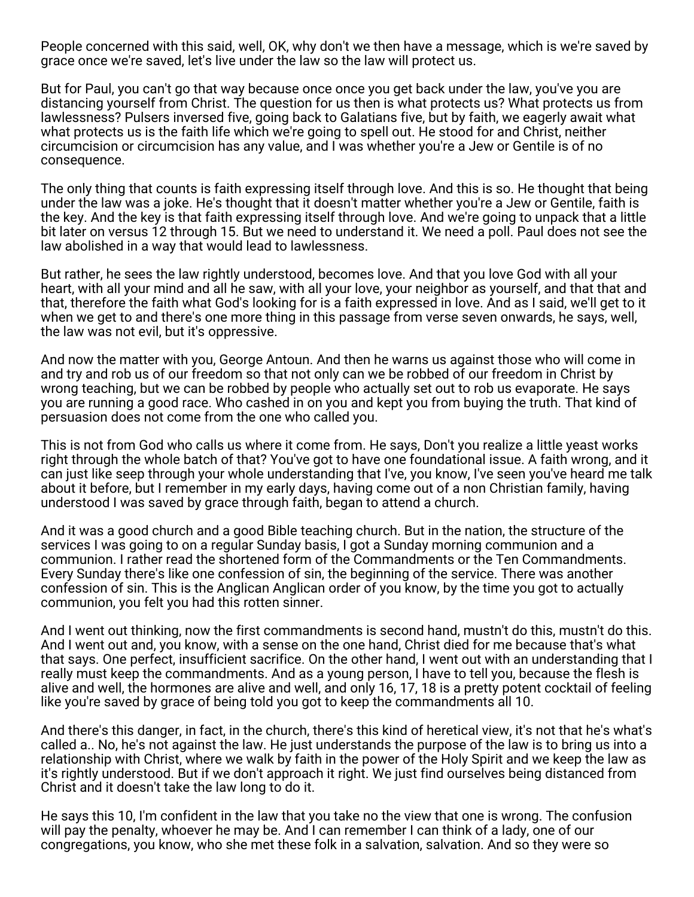People concerned with this said, well, OK, why don't we then have a message, which is we're saved by grace once we're saved, let's live under the law so the law will protect us.

But for Paul, you can't go that way because once once you get back under the law, you've you are distancing yourself from Christ. The question for us then is what protects us? What protects us from lawlessness? Pulsers inversed five, going back to Galatians five, but by faith, we eagerly await what what protects us is the faith life which we're going to spell out. He stood for and Christ, neither circumcision or circumcision has any value, and I was whether you're a Jew or Gentile is of no consequence.

The only thing that counts is faith expressing itself through love. And this is so. He thought that being under the law was a joke. He's thought that it doesn't matter whether you're a Jew or Gentile, faith is the key. And the key is that faith expressing itself through love. And we're going to unpack that a little bit later on versus 12 through 15. But we need to understand it. We need a poll. Paul does not see the law abolished in a way that would lead to lawlessness.

But rather, he sees the law rightly understood, becomes love. And that you love God with all your heart, with all your mind and all he saw, with all your love, your neighbor as yourself, and that that and that, therefore the faith what God's looking for is a faith expressed in love. And as I said, we'll get to it when we get to and there's one more thing in this passage from verse seven onwards, he says, well, the law was not evil, but it's oppressive.

And now the matter with you, George Antoun. And then he warns us against those who will come in and try and rob us of our freedom so that not only can we be robbed of our freedom in Christ by wrong teaching, but we can be robbed by people who actually set out to rob us evaporate. He says you are running a good race. Who cashed in on you and kept you from buying the truth. That kind of persuasion does not come from the one who called you.

This is not from God who calls us where it come from. He says, Don't you realize a little yeast works right through the whole batch of that? You've got to have one foundational issue. A faith wrong, and it can just like seep through your whole understanding that I've, you know, I've seen you've heard me talk about it before, but I remember in my early days, having come out of a non Christian family, having understood I was saved by grace through faith, began to attend a church.

And it was a good church and a good Bible teaching church. But in the nation, the structure of the services I was going to on a regular Sunday basis, I got a Sunday morning communion and a communion. I rather read the shortened form of the Commandments or the Ten Commandments. Every Sunday there's like one confession of sin, the beginning of the service. There was another confession of sin. This is the Anglican Anglican order of you know, by the time you got to actually communion, you felt you had this rotten sinner.

And I went out thinking, now the first commandments is second hand, mustn't do this, mustn't do this. And I went out and, you know, with a sense on the one hand, Christ died for me because that's what that says. One perfect, insufficient sacrifice. On the other hand, I went out with an understanding that I really must keep the commandments. And as a young person, I have to tell you, because the flesh is alive and well, the hormones are alive and well, and only 16, 17, 18 is a pretty potent cocktail of feeling like you're saved by grace of being told you got to keep the commandments all 10.

And there's this danger, in fact, in the church, there's this kind of heretical view, it's not that he's what's called a.. No, he's not against the law. He just understands the purpose of the law is to bring us into a relationship with Christ, where we walk by faith in the power of the Holy Spirit and we keep the law as it's rightly understood. But if we don't approach it right. We just find ourselves being distanced from Christ and it doesn't take the law long to do it.

He says this 10, I'm confident in the law that you take no the view that one is wrong. The confusion will pay the penalty, whoever he may be. And I can remember I can think of a lady, one of our congregations, you know, who she met these folk in a salvation, salvation. And so they were so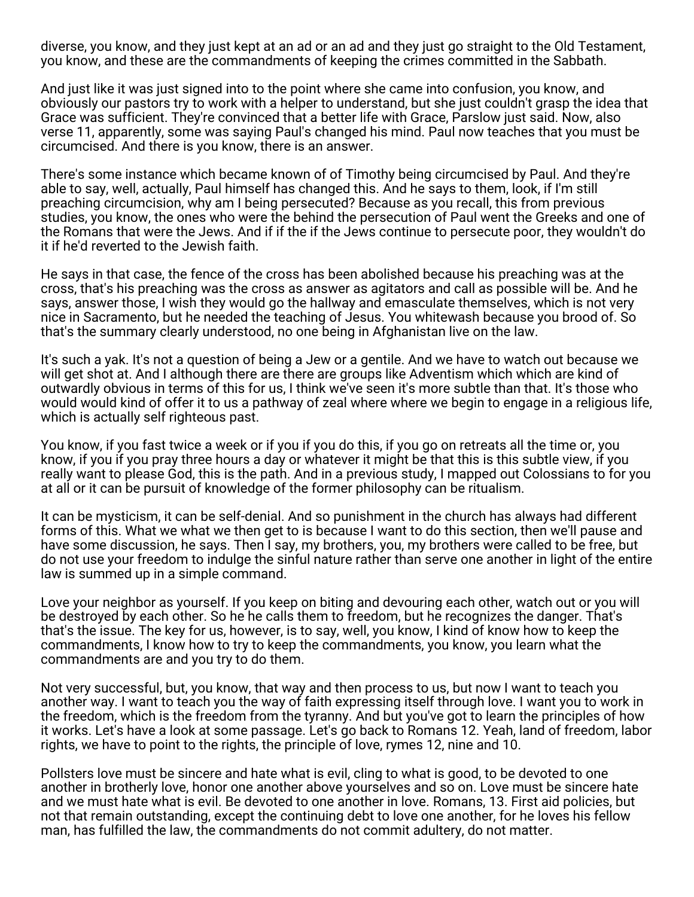diverse, you know, and they just kept at an ad or an ad and they just go straight to the Old Testament, you know, and these are the commandments of keeping the crimes committed in the Sabbath.

And just like it was just signed into to the point where she came into confusion, you know, and obviously our pastors try to work with a helper to understand, but she just couldn't grasp the idea that Grace was sufficient. They're convinced that a better life with Grace, Parslow just said. Now, also verse 11, apparently, some was saying Paul's changed his mind. Paul now teaches that you must be circumcised. And there is you know, there is an answer.

There's some instance which became known of of Timothy being circumcised by Paul. And they're able to say, well, actually, Paul himself has changed this. And he says to them, look, if I'm still preaching circumcision, why am I being persecuted? Because as you recall, this from previous studies, you know, the ones who were the behind the persecution of Paul went the Greeks and one of the Romans that were the Jews. And if if the if the Jews continue to persecute poor, they wouldn't do it if he'd reverted to the Jewish faith.

He says in that case, the fence of the cross has been abolished because his preaching was at the cross, that's his preaching was the cross as answer as agitators and call as possible will be. And he says, answer those, I wish they would go the hallway and emasculate themselves, which is not very nice in Sacramento, but he needed the teaching of Jesus. You whitewash because you brood of. So that's the summary clearly understood, no one being in Afghanistan live on the law.

It's such a yak. It's not a question of being a Jew or a gentile. And we have to watch out because we will get shot at. And I although there are there are groups like Adventism which which are kind of outwardly obvious in terms of this for us, I think we've seen it's more subtle than that. It's those who would would kind of offer it to us a pathway of zeal where where we begin to engage in a religious life, which is actually self righteous past.

You know, if you fast twice a week or if you if you do this, if you go on retreats all the time or, you know, if you if you pray three hours a day or whatever it might be that this is this subtle view, if you really want to please God, this is the path. And in a previous study, I mapped out Colossians to for you at all or it can be pursuit of knowledge of the former philosophy can be ritualism.

It can be mysticism, it can be self-denial. And so punishment in the church has always had different forms of this. What we what we then get to is because I want to do this section, then we'll pause and have some discussion, he says. Then I say, my brothers, you, my brothers were called to be free, but do not use your freedom to indulge the sinful nature rather than serve one another in light of the entire law is summed up in a simple command.

Love your neighbor as yourself. If you keep on biting and devouring each other, watch out or you will be destroyed by each other. So he he calls them to freedom, but he recognizes the danger. That's that's the issue. The key for us, however, is to say, well, you know, I kind of know how to keep the commandments, I know how to try to keep the commandments, you know, you learn what the commandments are and you try to do them.

Not very successful, but, you know, that way and then process to us, but now I want to teach you another way. I want to teach you the way of faith expressing itself through love. I want you to work in the freedom, which is the freedom from the tyranny. And but you've got to learn the principles of how it works. Let's have a look at some passage. Let's go back to Romans 12. Yeah, land of freedom, labor rights, we have to point to the rights, the principle of love, rymes 12, nine and 10.

Pollsters love must be sincere and hate what is evil, cling to what is good, to be devoted to one another in brotherly love, honor one another above yourselves and so on. Love must be sincere hate and we must hate what is evil. Be devoted to one another in love. Romans, 13. First aid policies, but not that remain outstanding, except the continuing debt to love one another, for he loves his fellow man, has fulfilled the law, the commandments do not commit adultery, do not matter.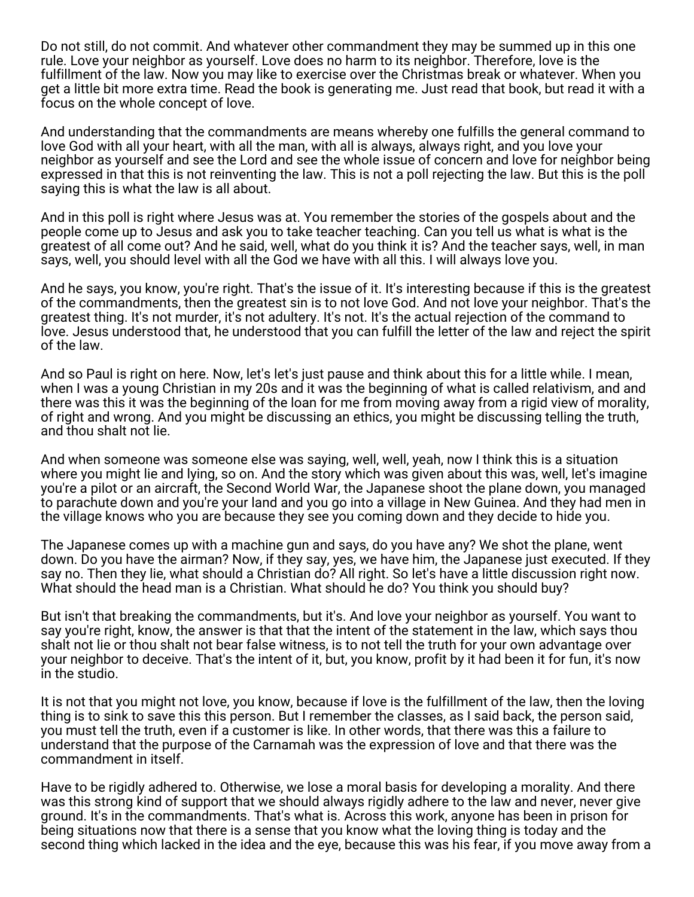Do not still, do not commit. And whatever other commandment they may be summed up in this one rule. Love your neighbor as yourself. Love does no harm to its neighbor. Therefore, love is the fulfillment of the law. Now you may like to exercise over the Christmas break or whatever. When you get a little bit more extra time. Read the book is generating me. Just read that book, but read it with a focus on the whole concept of love.

And understanding that the commandments are means whereby one fulfills the general command to love God with all your heart, with all the man, with all is always, always right, and you love your neighbor as yourself and see the Lord and see the whole issue of concern and love for neighbor being expressed in that this is not reinventing the law. This is not a poll rejecting the law. But this is the poll saying this is what the law is all about.

And in this poll is right where Jesus was at. You remember the stories of the gospels about and the people come up to Jesus and ask you to take teacher teaching. Can you tell us what is what is the greatest of all come out? And he said, well, what do you think it is? And the teacher says, well, in man says, well, you should level with all the God we have with all this. I will always love you.

And he says, you know, you're right. That's the issue of it. It's interesting because if this is the greatest of the commandments, then the greatest sin is to not love God. And not love your neighbor. That's the greatest thing. It's not murder, it's not adultery. It's not. It's the actual rejection of the command to love. Jesus understood that, he understood that you can fulfill the letter of the law and reject the spirit of the law.

And so Paul is right on here. Now, let's let's just pause and think about this for a little while. I mean, when I was a young Christian in my 20s and it was the beginning of what is called relativism, and and there was this it was the beginning of the loan for me from moving away from a rigid view of morality, of right and wrong. And you might be discussing an ethics, you might be discussing telling the truth, and thou shalt not lie.

And when someone was someone else was saying, well, well, yeah, now I think this is a situation where you might lie and lying, so on. And the story which was given about this was, well, let's imagine you're a pilot or an aircraft, the Second World War, the Japanese shoot the plane down, you managed to parachute down and you're your land and you go into a village in New Guinea. And they had men in the village knows who you are because they see you coming down and they decide to hide you.

The Japanese comes up with a machine gun and says, do you have any? We shot the plane, went down. Do you have the airman? Now, if they say, yes, we have him, the Japanese just executed. If they say no. Then they lie, what should a Christian do? All right. So let's have a little discussion right now. What should the head man is a Christian. What should he do? You think you should buy?

But isn't that breaking the commandments, but it's. And love your neighbor as yourself. You want to say you're right, know, the answer is that that the intent of the statement in the law, which says thou shalt not lie or thou shalt not bear false witness, is to not tell the truth for your own advantage over your neighbor to deceive. That's the intent of it, but, you know, profit by it had been it for fun, it's now in the studio.

It is not that you might not love, you know, because if love is the fulfillment of the law, then the loving thing is to sink to save this this person. But I remember the classes, as I said back, the person said, you must tell the truth, even if a customer is like. In other words, that there was this a failure to understand that the purpose of the Carnamah was the expression of love and that there was the commandment in itself.

Have to be rigidly adhered to. Otherwise, we lose a moral basis for developing a morality. And there was this strong kind of support that we should always rigidly adhere to the law and never, never give ground. It's in the commandments. That's what is. Across this work, anyone has been in prison for being situations now that there is a sense that you know what the loving thing is today and the second thing which lacked in the idea and the eye, because this was his fear, if you move away from a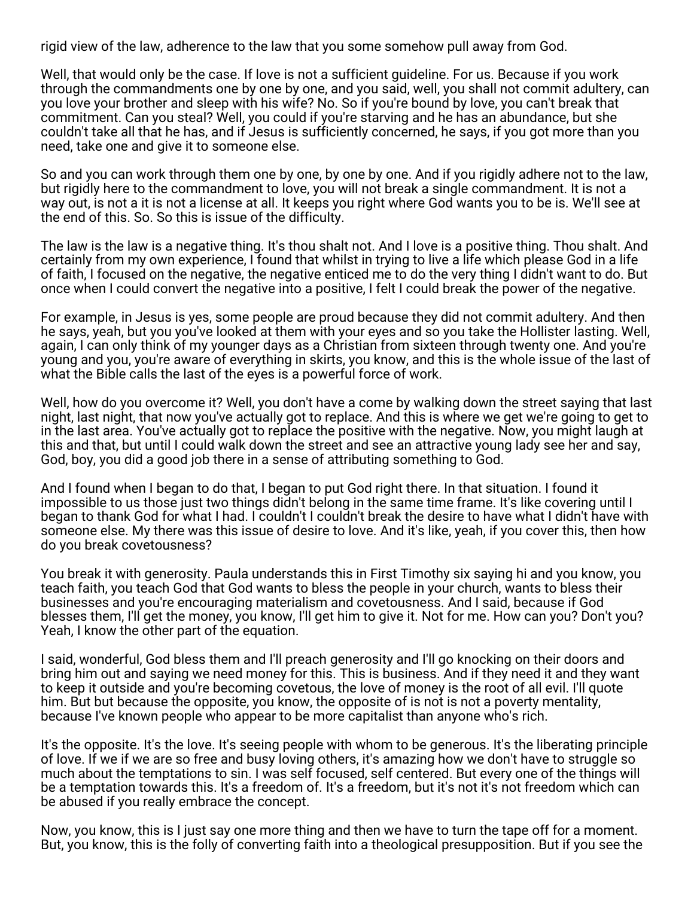rigid view of the law, adherence to the law that you some somehow pull away from God.

Well, that would only be the case. If love is not a sufficient guideline. For us. Because if you work through the commandments one by one by one, and you said, well, you shall not commit adultery, can you love your brother and sleep with his wife? No. So if you're bound by love, you can't break that commitment. Can you steal? Well, you could if you're starving and he has an abundance, but she couldn't take all that he has, and if Jesus is sufficiently concerned, he says, if you got more than you need, take one and give it to someone else.

So and you can work through them one by one, by one by one. And if you rigidly adhere not to the law, but rigidly here to the commandment to love, you will not break a single commandment. It is not a way out, is not a it is not a license at all. It keeps you right where God wants you to be is. We'll see at the end of this. So. So this is issue of the difficulty.

The law is the law is a negative thing. It's thou shalt not. And I love is a positive thing. Thou shalt. And certainly from my own experience, I found that whilst in trying to live a life which please God in a life of faith, I focused on the negative, the negative enticed me to do the very thing I didn't want to do. But once when I could convert the negative into a positive, I felt I could break the power of the negative.

For example, in Jesus is yes, some people are proud because they did not commit adultery. And then he says, yeah, but you you've looked at them with your eyes and so you take the Hollister lasting. Well, again, I can only think of my younger days as a Christian from sixteen through twenty one. And you're young and you, you're aware of everything in skirts, you know, and this is the whole issue of the last of what the Bible calls the last of the eyes is a powerful force of work.

Well, how do you overcome it? Well, you don't have a come by walking down the street saying that last night, last night, that now you've actually got to replace. And this is where we get we're going to get to in the last area. You've actually got to replace the positive with the negative. Now, you might laugh at this and that, but until I could walk down the street and see an attractive young lady see her and say, God, boy, you did a good job there in a sense of attributing something to God.

And I found when I began to do that, I began to put God right there. In that situation. I found it impossible to us those just two things didn't belong in the same time frame. It's like covering until I began to thank God for what I had. I couldn't I couldn't break the desire to have what I didn't have with someone else. My there was this issue of desire to love. And it's like, yeah, if you cover this, then how do you break covetousness?

You break it with generosity. Paula understands this in First Timothy six saying hi and you know, you teach faith, you teach God that God wants to bless the people in your church, wants to bless their businesses and you're encouraging materialism and covetousness. And I said, because if God blesses them, I'll get the money, you know, I'll get him to give it. Not for me. How can you? Don't you? Yeah, I know the other part of the equation.

I said, wonderful, God bless them and I'll preach generosity and I'll go knocking on their doors and bring him out and saying we need money for this. This is business. And if they need it and they want to keep it outside and you're becoming covetous, the love of money is the root of all evil. I'll quote him. But but because the opposite, you know, the opposite of is not is not a poverty mentality, because I've known people who appear to be more capitalist than anyone who's rich.

It's the opposite. It's the love. It's seeing people with whom to be generous. It's the liberating principle of love. If we if we are so free and busy loving others, it's amazing how we don't have to struggle so much about the temptations to sin. I was self focused, self centered. But every one of the things will be a temptation towards this. It's a freedom of. It's a freedom, but it's not it's not freedom which can be abused if you really embrace the concept.

Now, you know, this is I just say one more thing and then we have to turn the tape off for a moment. But, you know, this is the folly of converting faith into a theological presupposition. But if you see the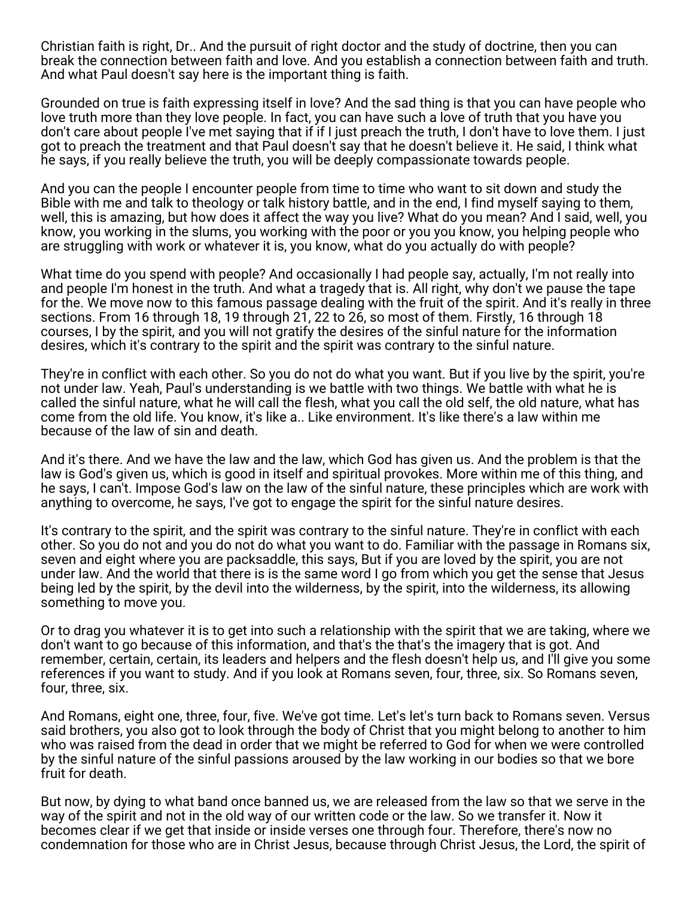Christian faith is right, Dr.. And the pursuit of right doctor and the study of doctrine, then you can break the connection between faith and love. And you establish a connection between faith and truth. And what Paul doesn't say here is the important thing is faith.

Grounded on true is faith expressing itself in love? And the sad thing is that you can have people who love truth more than they love people. In fact, you can have such a love of truth that you have you don't care about people I've met saying that if if I just preach the truth, I don't have to love them. I just got to preach the treatment and that Paul doesn't say that he doesn't believe it. He said, I think what he says, if you really believe the truth, you will be deeply compassionate towards people.

And you can the people I encounter people from time to time who want to sit down and study the Bible with me and talk to theology or talk history battle, and in the end, I find myself saying to them, well, this is amazing, but how does it affect the way you live? What do you mean? And I said, well, you know, you working in the slums, you working with the poor or you you know, you helping people who are struggling with work or whatever it is, you know, what do you actually do with people?

What time do you spend with people? And occasionally I had people say, actually, I'm not really into and people I'm honest in the truth. And what a tragedy that is. All right, why don't we pause the tape for the. We move now to this famous passage dealing with the fruit of the spirit. And it's really in three sections. From 16 through 18, 19 through 21, 22 to 26, so most of them. Firstly, 16 through 18 courses, I by the spirit, and you will not gratify the desires of the sinful nature for the information desires, which it's contrary to the spirit and the spirit was contrary to the sinful nature.

They're in conflict with each other. So you do not do what you want. But if you live by the spirit, you're not under law. Yeah, Paul's understanding is we battle with two things. We battle with what he is called the sinful nature, what he will call the flesh, what you call the old self, the old nature, what has come from the old life. You know, it's like a.. Like environment. It's like there's a law within me because of the law of sin and death.

And it's there. And we have the law and the law, which God has given us. And the problem is that the law is God's given us, which is good in itself and spiritual provokes. More within me of this thing, and he says, I can't. Impose God's law on the law of the sinful nature, these principles which are work with anything to overcome, he says, I've got to engage the spirit for the sinful nature desires.

It's contrary to the spirit, and the spirit was contrary to the sinful nature. They're in conflict with each other. So you do not and you do not do what you want to do. Familiar with the passage in Romans six, seven and eight where you are packsaddle, this says, But if you are loved by the spirit, you are not under law. And the world that there is is the same word I go from which you get the sense that Jesus being led by the spirit, by the devil into the wilderness, by the spirit, into the wilderness, its allowing something to move you.

Or to drag you whatever it is to get into such a relationship with the spirit that we are taking, where we don't want to go because of this information, and that's the that's the imagery that is got. And remember, certain, certain, its leaders and helpers and the flesh doesn't help us, and I'll give you some references if you want to study. And if you look at Romans seven, four, three, six. So Romans seven, four, three, six.

And Romans, eight one, three, four, five. We've got time. Let's let's turn back to Romans seven. Versus said brothers, you also got to look through the body of Christ that you might belong to another to him who was raised from the dead in order that we might be referred to God for when we were controlled by the sinful nature of the sinful passions aroused by the law working in our bodies so that we bore fruit for death.

But now, by dying to what band once banned us, we are released from the law so that we serve in the way of the spirit and not in the old way of our written code or the law. So we transfer it. Now it becomes clear if we get that inside or inside verses one through four. Therefore, there's now no condemnation for those who are in Christ Jesus, because through Christ Jesus, the Lord, the spirit of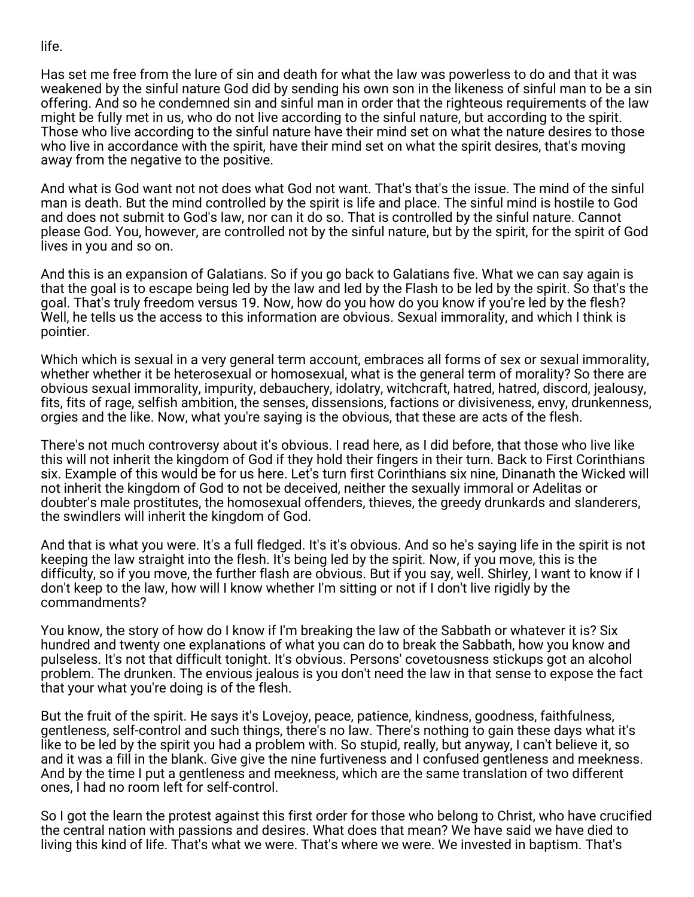life.

Has set me free from the lure of sin and death for what the law was powerless to do and that it was weakened by the sinful nature God did by sending his own son in the likeness of sinful man to be a sin offering. And so he condemned sin and sinful man in order that the righteous requirements of the law might be fully met in us, who do not live according to the sinful nature, but according to the spirit. Those who live according to the sinful nature have their mind set on what the nature desires to those who live in accordance with the spirit, have their mind set on what the spirit desires, that's moving away from the negative to the positive.

And what is God want not not does what God not want. That's that's the issue. The mind of the sinful man is death. But the mind controlled by the spirit is life and place. The sinful mind is hostile to God and does not submit to God's law, nor can it do so. That is controlled by the sinful nature. Cannot please God. You, however, are controlled not by the sinful nature, but by the spirit, for the spirit of God lives in you and so on.

And this is an expansion of Galatians. So if you go back to Galatians five. What we can say again is that the goal is to escape being led by the law and led by the Flash to be led by the spirit. So that's the goal. That's truly freedom versus 19. Now, how do you how do you know if you're led by the flesh? Well, he tells us the access to this information are obvious. Sexual immorality, and which I think is pointier.

Which which is sexual in a very general term account, embraces all forms of sex or sexual immorality, whether whether it be heterosexual or homosexual, what is the general term of morality? So there are obvious sexual immorality, impurity, debauchery, idolatry, witchcraft, hatred, hatred, discord, jealousy, fits, fits of rage, selfish ambition, the senses, dissensions, factions or divisiveness, envy, drunkenness, orgies and the like. Now, what you're saying is the obvious, that these are acts of the flesh.

There's not much controversy about it's obvious. I read here, as I did before, that those who live like this will not inherit the kingdom of God if they hold their fingers in their turn. Back to First Corinthians six. Example of this would be for us here. Let's turn first Corinthians six nine, Dinanath the Wicked will not inherit the kingdom of God to not be deceived, neither the sexually immoral or Adelitas or doubter's male prostitutes, the homosexual offenders, thieves, the greedy drunkards and slanderers, the swindlers will inherit the kingdom of God.

And that is what you were. It's a full fledged. It's it's obvious. And so he's saying life in the spirit is not keeping the law straight into the flesh. It's being led by the spirit. Now, if you move, this is the difficulty, so if you move, the further flash are obvious. But if you say, well. Shirley, I want to know if I don't keep to the law, how will I know whether I'm sitting or not if I don't live rigidly by the commandments?

You know, the story of how do I know if I'm breaking the law of the Sabbath or whatever it is? Six hundred and twenty one explanations of what you can do to break the Sabbath, how you know and pulseless. It's not that difficult tonight. It's obvious. Persons' covetousness stickups got an alcohol problem. The drunken. The envious jealous is you don't need the law in that sense to expose the fact that your what you're doing is of the flesh.

But the fruit of the spirit. He says it's Lovejoy, peace, patience, kindness, goodness, faithfulness, gentleness, self-control and such things, there's no law. There's nothing to gain these days what it's like to be led by the spirit you had a problem with. So stupid, really, but anyway, I can't believe it, so and it was a fill in the blank. Give give the nine furtiveness and I confused gentleness and meekness. And by the time I put a gentleness and meekness, which are the same translation of two different ones, I had no room left for self-control.

So I got the learn the protest against this first order for those who belong to Christ, who have crucified the central nation with passions and desires. What does that mean? We have said we have died to living this kind of life. That's what we were. That's where we were. We invested in baptism. That's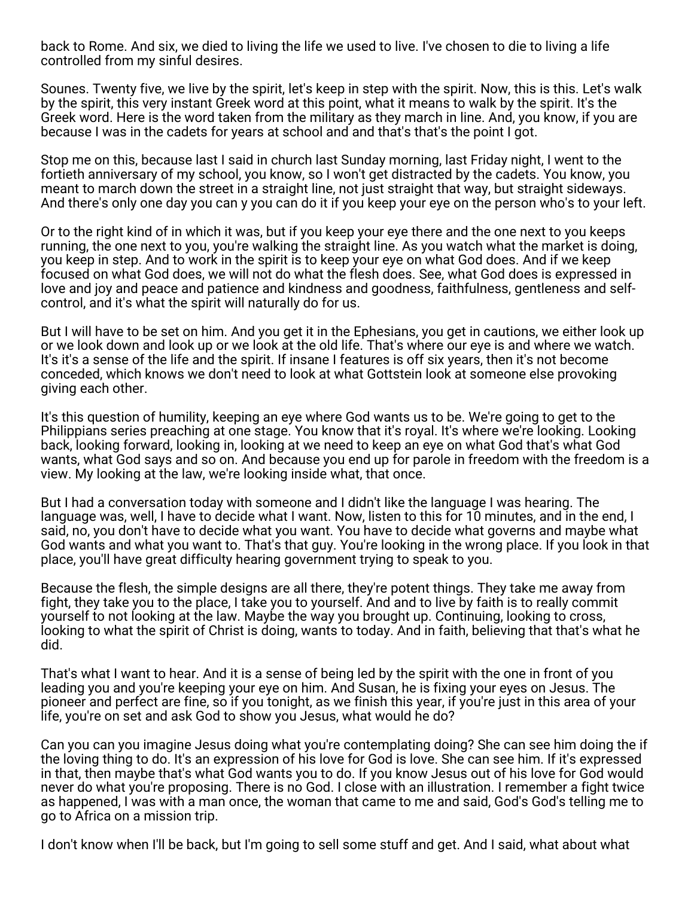back to Rome. And six, we died to living the life we used to live. I've chosen to die to living a life controlled from my sinful desires.

Sounes. Twenty five, we live by the spirit, let's keep in step with the spirit. Now, this is this. Let's walk by the spirit, this very instant Greek word at this point, what it means to walk by the spirit. It's the Greek word. Here is the word taken from the military as they march in line. And, you know, if you are because I was in the cadets for years at school and and that's that's the point I got.

Stop me on this, because last I said in church last Sunday morning, last Friday night, I went to the fortieth anniversary of my school, you know, so I won't get distracted by the cadets. You know, you meant to march down the street in a straight line, not just straight that way, but straight sideways. And there's only one day you can y you can do it if you keep your eye on the person who's to your left.

Or to the right kind of in which it was, but if you keep your eye there and the one next to you keeps running, the one next to you, you're walking the straight line. As you watch what the market is doing, you keep in step. And to work in the spirit is to keep your eye on what God does. And if we keep focused on what God does, we will not do what the flesh does. See, what God does is expressed in love and joy and peace and patience and kindness and goodness, faithfulness, gentleness and selfcontrol, and it's what the spirit will naturally do for us.

But I will have to be set on him. And you get it in the Ephesians, you get in cautions, we either look up or we look down and look up or we look at the old life. That's where our eye is and where we watch. It's it's a sense of the life and the spirit. If insane I features is off six years, then it's not become conceded, which knows we don't need to look at what Gottstein look at someone else provoking giving each other.

It's this question of humility, keeping an eye where God wants us to be. We're going to get to the Philippians series preaching at one stage. You know that it's royal. It's where we're looking. Looking back, looking forward, looking in, looking at we need to keep an eye on what God that's what God wants, what God says and so on. And because you end up for parole in freedom with the freedom is a view. My looking at the law, we're looking inside what, that once.

But I had a conversation today with someone and I didn't like the language I was hearing. The language was, well, I have to decide what I want. Now, listen to this for 10 minutes, and in the end, I said, no, you don't have to decide what you want. You have to decide what governs and maybe what God wants and what you want to. That's that guy. You're looking in the wrong place. If you look in that place, you'll have great difficulty hearing government trying to speak to you.

Because the flesh, the simple designs are all there, they're potent things. They take me away from fight, they take you to the place, I take you to yourself. And and to live by faith is to really commit yourself to not looking at the law. Maybe the way you brought up. Continuing, looking to cross, looking to what the spirit of Christ is doing, wants to today. And in faith, believing that that's what he did.

That's what I want to hear. And it is a sense of being led by the spirit with the one in front of you leading you and you're keeping your eye on him. And Susan, he is fixing your eyes on Jesus. The pioneer and perfect are fine, so if you tonight, as we finish this year, if you're just in this area of your life, you're on set and ask God to show you Jesus, what would he do?

Can you can you imagine Jesus doing what you're contemplating doing? She can see him doing the if the loving thing to do. It's an expression of his love for God is love. She can see him. If it's expressed in that, then maybe that's what God wants you to do. If you know Jesus out of his love for God would never do what you're proposing. There is no God. I close with an illustration. I remember a fight twice as happened, I was with a man once, the woman that came to me and said, God's God's telling me to go to Africa on a mission trip.

I don't know when I'll be back, but I'm going to sell some stuff and get. And I said, what about what